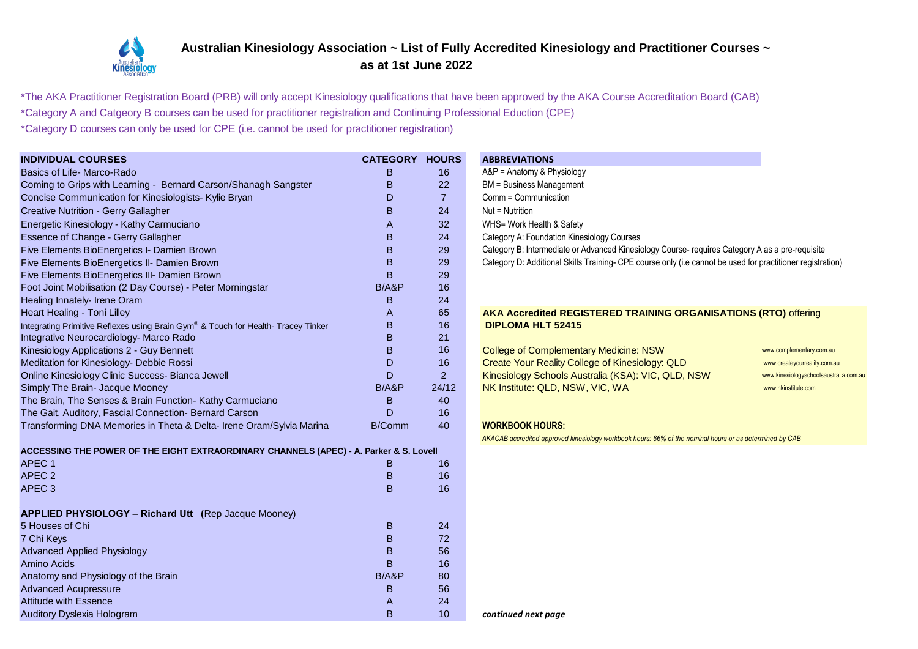

## **Australian Kinesiology Association ~ List of Fully Accredited Kinesiology and Practitioner Courses ~ as at 1st June 2022**

\*The AKA Practitioner Registration Board (PRB) will only accept Kinesiology qualifications that have been approved by the AKA Course Accreditation Board (CAB)

\*Category A and Catgeory B courses can be used for practitioner registration and Continuing Professional Eduction (CPE)

\*Category D courses can only be used for CPE (i.e. cannot be used for practitioner registration)

| <b>INDIVIDUAL COURSES</b>                                                              | <b>CATEGORY HOURS</b> |                | <b>ABBREVIATIONS</b>                                                                                       |
|----------------------------------------------------------------------------------------|-----------------------|----------------|------------------------------------------------------------------------------------------------------------|
| Basics of Life- Marco-Rado                                                             | B                     | 16             | A&P = Anatomy & Physiology                                                                                 |
| Coming to Grips with Learning - Bernard Carson/Shanagh Sangster                        | B                     | 22             | <b>BM</b> = Business Management                                                                            |
| Concise Communication for Kinesiologists- Kylie Bryan                                  | D                     | $\overline{7}$ | Comm = Communication                                                                                       |
| <b>Creative Nutrition - Gerry Gallagher</b>                                            | B                     | 24             | Nut = Nutrition                                                                                            |
| Energetic Kinesiology - Kathy Carmuciano                                               | A                     | 32             | WHS= Work Health & Safety                                                                                  |
| <b>Essence of Change - Gerry Gallagher</b>                                             | B                     | 24             | Category A: Foundation Kinesiology Courses                                                                 |
| Five Elements BioEnergetics I- Damien Brown                                            | B                     | 29             | Category B: Intermediate or Advanced Kinesiology Course- requires Category A as a pre-requisite            |
| Five Elements BioEnergetics II- Damien Brown                                           | B                     | 29             | Category D: Additional Skills Training- CPE course only (i.e cannot be used for practitioner registration) |
| Five Elements BioEnergetics III- Damien Brown                                          | B                     | 29             |                                                                                                            |
| Foot Joint Mobilisation (2 Day Course) - Peter Morningstar                             | B/ABP                 | 16             |                                                                                                            |
| Healing Innately- Irene Oram                                                           | B                     | 24             |                                                                                                            |
| Heart Healing - Toni Lilley                                                            | A                     | 65             | AKA Accredited REGISTERED TRAINING ORGANISATIONS (RTO) offering                                            |
| Integrating Primitive Reflexes using Brain Gym® & Touch for Health- Tracey Tinker      | B                     | 16             | <b>DIPLOMA HLT 52415</b>                                                                                   |
| Integrative Neurocardiology- Marco Rado                                                | B                     | 21             |                                                                                                            |
| Kinesiology Applications 2 - Guy Bennett                                               | B                     | 16             | <b>College of Complementary Medicine: NSW</b><br>www.complementary.com.au                                  |
| Meditation for Kinesiology- Debbie Rossi                                               | D                     | 16             | Create Your Reality College of Kinesiology: QLD<br>www.createyourreality.com.au                            |
| Online Kinesiology Clinic Success- Bianca Jewell                                       | D                     | $\overline{a}$ | Kinesiology Schools Australia (KSA): VIC, QLD, NSW<br>www.kinesiologyschoolsaustralia.com.au               |
| Simply The Brain- Jacque Mooney                                                        | B/ABP                 | 24/12          | NK Institute: QLD, NSW, VIC, WA<br>www.nkinstitute.com                                                     |
| The Brain, The Senses & Brain Function- Kathy Carmuciano                               | B                     | 40             |                                                                                                            |
| The Gait, Auditory, Fascial Connection- Bernard Carson                                 | D                     | 16             |                                                                                                            |
| Transforming DNA Memories in Theta & Delta- Irene Oram/Sylvia Marina                   | B/Comm                | 40             | <b>WORKBOOK HOURS:</b>                                                                                     |
|                                                                                        |                       |                | AKACAB accredited approved kinesiology workbook hours: 66% of the nominal hours or as determined by CAB    |
| ACCESSING THE POWER OF THE EIGHT EXTRAORDINARY CHANNELS (APEC) - A. Parker & S. Lovell |                       |                |                                                                                                            |
| APEC <sub>1</sub>                                                                      | B                     | 16             |                                                                                                            |
| APEC <sub>2</sub>                                                                      | B                     | 16             |                                                                                                            |
| APEC <sub>3</sub>                                                                      | B                     | 16             |                                                                                                            |
|                                                                                        |                       |                |                                                                                                            |
| <b>APPLIED PHYSIOLOGY - Richard Utt</b> (Rep Jacque Mooney)                            |                       |                |                                                                                                            |
| 5 Houses of Chi                                                                        | B                     | 24             |                                                                                                            |
| 7 Chi Keys                                                                             | $\overline{B}$        | 72             |                                                                                                            |
| <b>Advanced Applied Physiology</b>                                                     | B                     | 56             |                                                                                                            |
| Amino Acids                                                                            | B                     | 16             |                                                                                                            |
| Anatomy and Physiology of the Brain                                                    | B/ABP                 | 80             |                                                                                                            |
| <b>Advanced Acupressure</b>                                                            | B                     | 56             |                                                                                                            |
| <b>Attitude with Essence</b>                                                           | A                     | 24             |                                                                                                            |
| <b>Auditory Dyslexia Hologram</b>                                                      | B                     | 10             | continued next page                                                                                        |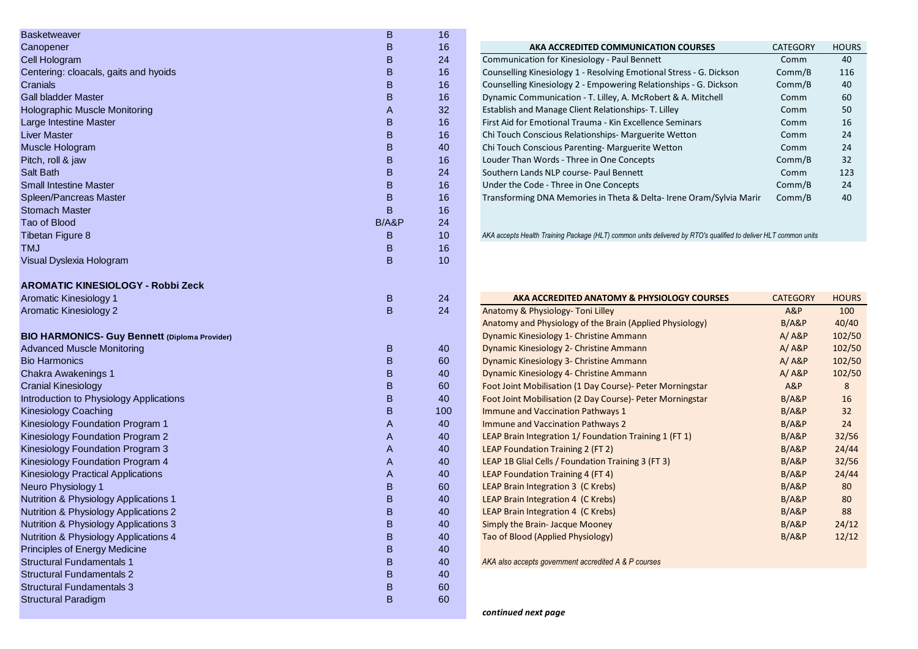| <b>Basketweaver</b>                                  | B      | 16  |                                                                                                                 |                 |              |
|------------------------------------------------------|--------|-----|-----------------------------------------------------------------------------------------------------------------|-----------------|--------------|
| Canopener                                            | В      | 16  | AKA ACCREDITED COMMUNICATION COURSES                                                                            | <b>CATEGORY</b> | <b>HOURS</b> |
| Cell Hologram                                        | в      | 24  | Communication for Kinesiology - Paul Bennett                                                                    | Comm            | 40           |
| Centering: cloacals, gaits and hyoids                | B      | 16  | Counselling Kinesiology 1 - Resolving Emotional Stress - G. Dickson                                             | Comm/B          | 116          |
| Cranials                                             | B      | 16  | Counselling Kinesiology 2 - Empowering Relationships - G. Dickson                                               | Comm/B          | 40           |
| <b>Gall bladder Master</b>                           | B      | 16  | Dynamic Communication - T. Lilley, A. McRobert & A. Mitchell                                                    | Comm            | 60           |
| <b>Holographic Muscle Monitoring</b>                 | A      | 32  | Establish and Manage Client Relationships- T. Lilley                                                            | Comm            | 50           |
| Large Intestine Master                               | B      | 16  | First Aid for Emotional Trauma - Kin Excellence Seminars                                                        | Comm            | 16           |
| <b>Liver Master</b>                                  | B      | 16  | Chi Touch Conscious Relationships- Marguerite Wetton                                                            | Comm            | 24           |
| Muscle Hologram                                      | B      | 40  | Chi Touch Conscious Parenting- Marguerite Wetton                                                                | Comm            | 24           |
| Pitch, roll & jaw                                    | B      | 16  | Louder Than Words - Three in One Concepts                                                                       | Comm/B          | 32           |
| Salt Bath                                            | B      | 24  | Southern Lands NLP course- Paul Bennett                                                                         | Comm            | 123          |
| <b>Small Intestine Master</b>                        | B      | 16  | Under the Code - Three in One Concepts                                                                          | Comm/B          | 24           |
| Spleen/Pancreas Master                               | B      | 16  | Transforming DNA Memories in Theta & Delta-Irene Oram/Sylvia Marir                                              | Comm/B          | 40           |
| <b>Stomach Master</b>                                | в      | 16  |                                                                                                                 |                 |              |
| Tao of Blood                                         | B/A&P  | 24  |                                                                                                                 |                 |              |
| <b>Tibetan Figure 8</b>                              | в      | 10  | AKA accepts Health Training Package (HLT) common units delivered by RTO's qualified to deliver HLT common units |                 |              |
| <b>TMJ</b>                                           | B      | 16  |                                                                                                                 |                 |              |
| Visual Dyslexia Hologram                             | B      | 10  |                                                                                                                 |                 |              |
| <b>AROMATIC KINESIOLOGY - Robbi Zeck</b>             |        |     |                                                                                                                 |                 |              |
| Aromatic Kinesiology 1                               | B      | 24  | AKA ACCREDITED ANATOMY & PHYSIOLOGY COURSES                                                                     | <b>CATEGORY</b> | <b>HOURS</b> |
| Aromatic Kinesiology 2                               | B      | 24  | Anatomy & Physiology- Toni Lilley                                                                               | A&P             | 100          |
|                                                      |        |     | Anatomy and Physiology of the Brain (Applied Physiology)                                                        | B/ABP           | 40/40        |
| <b>BIO HARMONICS- Guy Bennett (Diploma Provider)</b> |        |     | Dynamic Kinesiology 1- Christine Ammann                                                                         | $A / A$ &P      | 102/50       |
| <b>Advanced Muscle Monitoring</b>                    | B      | 40  | Dynamic Kinesiology 2- Christine Ammann                                                                         | A/ABP           | 102/50       |
| <b>Bio Harmonics</b>                                 | B      | 60  | Dynamic Kinesiology 3- Christine Ammann                                                                         | $A / A$ &P      | 102/50       |
| Chakra Awakenings 1                                  | в      | 40  | Dynamic Kinesiology 4- Christine Ammann                                                                         | A/ABP           | 102/50       |
| <b>Cranial Kinesiology</b>                           | в      | 60  | Foot Joint Mobilisation (1 Day Course) - Peter Morningstar                                                      | A&P             | 8            |
| Introduction to Physiology Applications              | B      | 40  | Foot Joint Mobilisation (2 Day Course) - Peter Morningstar                                                      | B/ABP           | 16           |
| <b>Kinesiology Coaching</b>                          | B      | 100 | Immune and Vaccination Pathways 1                                                                               | B/ABP           | 32           |
| Kinesiology Foundation Program 1                     | A      | 40  | Immune and Vaccination Pathways 2                                                                               | B/ABP           | 24           |
| Kinesiology Foundation Program 2                     | A      | 40  | LEAP Brain Integration 1/ Foundation Training 1 (FT 1)                                                          | B/ABP           | 32/56        |
| Kinesiology Foundation Program 3                     | A      | 40  | LEAP Foundation Training 2 (FT 2)                                                                               | B/ABP           | 24/44        |
| Kinesiology Foundation Program 4                     | A      | 40  | LEAP 1B Glial Cells / Foundation Training 3 (FT 3)                                                              | B/ABP           | 32/56        |
| <b>Kinesiology Practical Applications</b>            | A      | 40  | <b>LEAP Foundation Training 4 (FT 4)</b>                                                                        | B/ABP           | 24/44        |
| Neuro Physiology 1                                   | B      | 60  | <b>LEAP Brain Integration 3 (C Krebs)</b>                                                                       | B/ABP           | 80           |
| Nutrition & Physiology Applications 1                | B      | 40  | LEAP Brain Integration 4 (C Krebs)                                                                              | B/ABP           | 80           |
| Nutrition & Physiology Applications 2                | B      | 40  | <b>LEAP Brain Integration 4 (C Krebs)</b>                                                                       | B/ABP           | 88           |
| Nutrition & Physiology Applications 3                | B      | 40  | Simply the Brain- Jacque Mooney                                                                                 | B/A&P           | 24/12        |
| Nutrition & Physiology Applications 4                | В      | 40  | Tao of Blood (Applied Physiology)                                                                               | B/A&P           | 12/12        |
| <b>Principles of Energy Medicine</b>                 |        | 40  |                                                                                                                 |                 |              |
| <b>Structural Fundamentals 1</b>                     | B<br>B |     |                                                                                                                 |                 |              |
| <b>Structural Fundamentals 2</b>                     |        | 40  | AKA also accepts government accredited A & P courses                                                            |                 |              |
|                                                      | B      | 40  |                                                                                                                 |                 |              |
| <b>Structural Fundamentals 3</b>                     | B      | 60  |                                                                                                                 |                 |              |
| <b>Structural Paradigm</b>                           | B      | 60  |                                                                                                                 |                 |              |

| AKA ACCREDITED COMMUNICATION COURSES                                | <b>CATEGORY</b> | <b>HOURS</b> |
|---------------------------------------------------------------------|-----------------|--------------|
| Communication for Kinesiology - Paul Bennett                        | Comm            | 40           |
| Counselling Kinesiology 1 - Resolving Emotional Stress - G. Dickson | Comm/B          | 116          |
| Counselling Kinesiology 2 - Empowering Relationships - G. Dickson   | Comm/B          | 40           |
| Dynamic Communication - T. Lilley, A. McRobert & A. Mitchell        | Comm            | 60           |
| Establish and Manage Client Relationships- T. Lilley                | Comm            | 50           |
| First Aid for Emotional Trauma - Kin Excellence Seminars            | Comm            | 16           |
| Chi Touch Conscious Relationships- Marguerite Wetton                | Comm            | 24           |
| Chi Touch Conscious Parenting-Marguerite Wetton                     | Comm            | 24           |
| Louder Than Words - Three in One Concepts                           | Comm/B          | 32           |
| Southern Lands NLP course- Paul Bennett                             | Comm            | 123          |
| Under the Code - Three in One Concepts                              | Comm/B          | 24           |
| Transforming DNA Memories in Theta & Delta-Irene Oram/Sylvia Marir  | Comm/B          | 40           |
|                                                                     |                 |              |

| AKA ACCREDITED ANATOMY & PHYSIOLOGY COURSES                | <b>CATEGORY</b> | <b>HOURS</b> |
|------------------------------------------------------------|-----------------|--------------|
| Anatomy & Physiology- Toni Lilley                          | A&P             | 100          |
| Anatomy and Physiology of the Brain (Applied Physiology)   | B/ABP           | 40/40        |
| Dynamic Kinesiology 1- Christine Ammann                    | A/ABP           | 102/50       |
| Dynamic Kinesiology 2- Christine Ammann                    | A/ABP           | 102/50       |
| Dynamic Kinesiology 3- Christine Ammann                    | A/ABP           | 102/50       |
| Dynamic Kinesiology 4- Christine Ammann                    | A/ABP           | 102/50       |
| Foot Joint Mobilisation (1 Day Course) - Peter Morningstar | A&P             | 8            |
| Foot Joint Mobilisation (2 Day Course) - Peter Morningstar | B/ABP           | 16           |
| <b>Immune and Vaccination Pathways 1</b>                   | B/ABP           | 32           |
| <b>Immune and Vaccination Pathways 2</b>                   | B/ABP           | 24           |
| LEAP Brain Integration 1/ Foundation Training 1 (FT 1)     | B/ABP           | 32/56        |
| LEAP Foundation Training 2 (FT 2)                          | B/ABP           | 24/44        |
| LEAP 1B Glial Cells / Foundation Training 3 (FT 3)         | B/ABP           | 32/56        |
| LEAP Foundation Training 4 (FT 4)                          | B/ABP           | 24/44        |
| LEAP Brain Integration 3 (C Krebs)                         | B/ABP           | 80           |
| LEAP Brain Integration 4 (C Krebs)                         | B/ABP           | 80           |
| LEAP Brain Integration 4 (C Krebs)                         | B/ABP           | 88           |
| Simply the Brain- Jacque Mooney                            | B/ABP           | 24/12        |
| Tao of Blood (Applied Physiology)                          | B/ABP           | 12/12        |
|                                                            |                 |              |

*continued next page*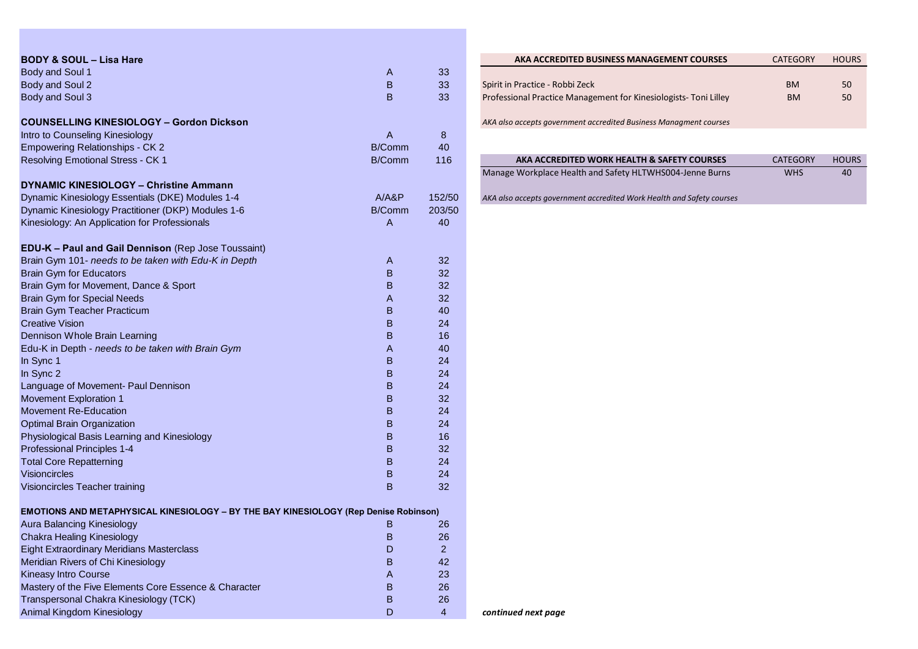| <b>BODY &amp; SOUL - Lisa Hare</b>                                                          |               |                | AKA ACCREDITED BUSINESS MANAGEMENT COURSES                            | <b>CATEGORY</b> | <b>HOURS</b> |
|---------------------------------------------------------------------------------------------|---------------|----------------|-----------------------------------------------------------------------|-----------------|--------------|
| Body and Soul 1                                                                             | A             | 33             |                                                                       |                 |              |
| Body and Soul 2                                                                             | $\sf{B}$      | 33             | Spirit in Practice - Robbi Zeck                                       | <b>BM</b>       | 50           |
| Body and Soul 3                                                                             | B             | 33             | Professional Practice Management for Kinesiologists- Toni Lilley      | <b>BM</b>       | 50           |
| <b>COUNSELLING KINESIOLOGY - Gordon Dickson</b>                                             |               |                | AKA also accepts government accredited Business Managment courses     |                 |              |
| Intro to Counseling Kinesiology                                                             | $\mathsf{A}$  | $\bf 8$        |                                                                       |                 |              |
| <b>Empowering Relationships - CK 2</b>                                                      | <b>B/Comm</b> | 40             |                                                                       |                 |              |
| Resolving Emotional Stress - CK 1                                                           | B/Comm        | 116            | AKA ACCREDITED WORK HEALTH & SAFETY COURSES                           | <b>CATEGORY</b> | <b>HOURS</b> |
|                                                                                             |               |                | Manage Workplace Health and Safety HLTWHS004-Jenne Burns              | <b>WHS</b>      | 40           |
| <b>DYNAMIC KINESIOLOGY - Christine Ammann</b>                                               |               |                |                                                                       |                 |              |
| Dynamic Kinesiology Essentials (DKE) Modules 1-4                                            | A/ABP         | 152/50         | AKA also accepts government accredited Work Health and Safety courses |                 |              |
| Dynamic Kinesiology Practitioner (DKP) Modules 1-6                                          | <b>B/Comm</b> | 203/50         |                                                                       |                 |              |
| Kinesiology: An Application for Professionals                                               | A             | 40             |                                                                       |                 |              |
| <b>EDU-K - Paul and Gail Dennison</b> (Rep Jose Toussaint)                                  |               |                |                                                                       |                 |              |
| Brain Gym 101- needs to be taken with Edu-K in Depth                                        | A             | 32             |                                                                       |                 |              |
| <b>Brain Gym for Educators</b>                                                              | B             | 32             |                                                                       |                 |              |
| Brain Gym for Movement, Dance & Sport                                                       | B             | 32             |                                                                       |                 |              |
| <b>Brain Gym for Special Needs</b>                                                          | A             | 32             |                                                                       |                 |              |
| Brain Gym Teacher Practicum                                                                 | $\sf{B}$      | 40             |                                                                       |                 |              |
| <b>Creative Vision</b>                                                                      | B             | 24             |                                                                       |                 |              |
| Dennison Whole Brain Learning                                                               | $\sf{B}$      | 16             |                                                                       |                 |              |
| Edu-K in Depth - needs to be taken with Brain Gym                                           | A             | 40             |                                                                       |                 |              |
| In Sync 1                                                                                   | B             | 24             |                                                                       |                 |              |
| In Sync 2                                                                                   | $\sf{B}$      | 24             |                                                                       |                 |              |
| Language of Movement- Paul Dennison                                                         | B             | 24             |                                                                       |                 |              |
| Movement Exploration 1                                                                      | B             | 32             |                                                                       |                 |              |
| <b>Movement Re-Education</b>                                                                | B             | 24             |                                                                       |                 |              |
| <b>Optimal Brain Organization</b>                                                           | B             | 24             |                                                                       |                 |              |
| Physiological Basis Learning and Kinesiology                                                | $\sf{B}$      | 16             |                                                                       |                 |              |
| Professional Principles 1-4                                                                 | B             | 32             |                                                                       |                 |              |
| <b>Total Core Repatterning</b>                                                              | B             | 24             |                                                                       |                 |              |
| Visioncircles                                                                               | $\sf{B}$      | 24             |                                                                       |                 |              |
| Visioncircles Teacher training                                                              | B             | 32             |                                                                       |                 |              |
| <b>EMOTIONS AND METAPHYSICAL KINESIOLOGY - BY THE BAY KINESIOLOGY (Rep Denise Robinson)</b> |               |                |                                                                       |                 |              |
| <b>Aura Balancing Kinesiology</b>                                                           | B             | 26             |                                                                       |                 |              |
| <b>Chakra Healing Kinesiology</b>                                                           | B             | 26             |                                                                       |                 |              |
| <b>Eight Extraordinary Meridians Masterclass</b>                                            | D             | $\overline{a}$ |                                                                       |                 |              |
| Meridian Rivers of Chi Kinesiology                                                          | B             | 42             |                                                                       |                 |              |
| <b>Kineasy Intro Course</b>                                                                 | Α             | 23             |                                                                       |                 |              |
| Mastery of the Five Elements Core Essence & Character                                       | B             | 26             |                                                                       |                 |              |
| Transpersonal Chakra Kinesiology (TCK)                                                      | B             | 26             |                                                                       |                 |              |
| Animal Kingdom Kinesiology                                                                  | D             | 4              | continued next page                                                   |                 |              |

| AKA ACCREDITED BUSINESS MANAGEMENT COURSES                        | <b>CATEGORY</b> | <b>HOURS</b> |
|-------------------------------------------------------------------|-----------------|--------------|
|                                                                   |                 |              |
| Spirit in Practice - Robbi Zeck                                   | <b>BM</b>       | 50           |
| Professional Practice Management for Kinesiologists- Toni Lilley  | <b>BM</b>       | 50           |
|                                                                   |                 |              |
| AKA also accepts government accredited Business Managment courses |                 |              |
|                                                                   |                 |              |
|                                                                   |                 |              |
| AKA ACCREDITED WORK HEALTH & SAFETY COURSES                       | <b>CATEGORY</b> | <b>HOURS</b> |
| Manage Workplace Health and Safety HLTWHS004-Jenne Burns          | <b>WHS</b>      | 40           |
|                                                                   |                 |              |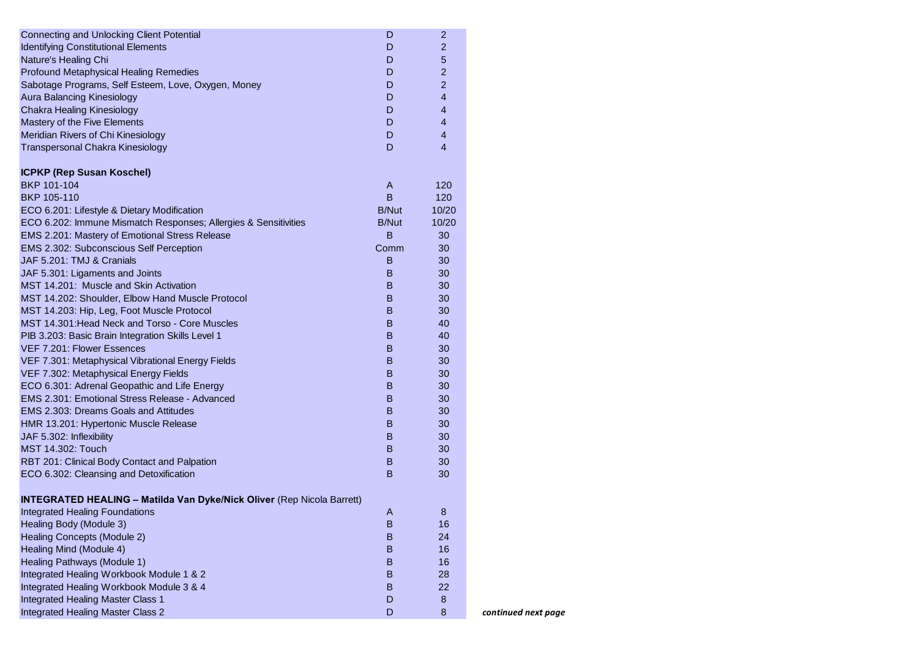| <b>Connecting and Unlocking Client Potential</b>                              | D            | $\overline{c}$ |
|-------------------------------------------------------------------------------|--------------|----------------|
| <b>Identifying Constitutional Elements</b>                                    | D            | 2              |
| Nature's Healing Chi                                                          | D            | 5              |
| <b>Profound Metaphysical Healing Remedies</b>                                 | D            | $\overline{2}$ |
| Sabotage Programs, Self Esteem, Love, Oxygen, Money                           | D            | $\overline{2}$ |
| <b>Aura Balancing Kinesiology</b>                                             | D            | 4              |
| <b>Chakra Healing Kinesiology</b>                                             | D            | 4              |
| Mastery of the Five Elements                                                  | D            | 4              |
| Meridian Rivers of Chi Kinesiology                                            | D            | 4              |
| Transpersonal Chakra Kinesiology                                              | D            | 4              |
| <b>ICPKP (Rep Susan Koschel)</b>                                              |              |                |
| BKP 101-104                                                                   | A            | 120            |
| BKP 105-110                                                                   | B            | 120            |
| ECO 6.201: Lifestyle & Dietary Modification                                   | <b>B/Nut</b> | 10/20          |
| ECO 6.202: Immune Mismatch Responses; Allergies & Sensitivities               | <b>B/Nut</b> | 10/20          |
| EMS 2.201: Mastery of Emotional Stress Release                                | В            | 30             |
| EMS 2.302: Subconscious Self Perception                                       | Comm         | 30             |
| JAF 5.201: TMJ & Cranials                                                     | B            | 30             |
| JAF 5.301: Ligaments and Joints                                               | B            | 30             |
| MST 14.201: Muscle and Skin Activation                                        | B            | 30             |
| MST 14.202: Shoulder, Elbow Hand Muscle Protocol                              | B            | 30             |
| MST 14.203: Hip, Leg, Foot Muscle Protocol                                    | В            | 30             |
| MST 14.301: Head Neck and Torso - Core Muscles                                | В            | 40             |
| PIB 3.203: Basic Brain Integration Skills Level 1                             | B            | 40             |
| VEF 7.201: Flower Essences                                                    | B            | 30             |
| VEF 7.301: Metaphysical Vibrational Energy Fields                             | B            | 30             |
| VEF 7.302: Metaphysical Energy Fields                                         | B            | 30             |
| ECO 6.301: Adrenal Geopathic and Life Energy                                  | B            | 30             |
| EMS 2.301: Emotional Stress Release - Advanced                                | B            | 30             |
| <b>EMS 2.303: Dreams Goals and Attitudes</b>                                  | B            | 30             |
| HMR 13.201: Hypertonic Muscle Release                                         | B            | 30             |
| JAF 5.302: Inflexibility                                                      | B            | 30             |
| MST 14.302: Touch                                                             | B            | 30             |
| RBT 201: Clinical Body Contact and Palpation                                  | B            | 30             |
| ECO 6.302: Cleansing and Detoxification                                       | B            | 30             |
| <b>INTEGRATED HEALING - Matilda Van Dyke/Nick Oliver (Rep Nicola Barrett)</b> |              |                |
| Integrated Healing Foundations                                                | A            | 8              |
| Healing Body (Module 3)                                                       | B            | 16             |
| <b>Healing Concepts (Module 2)</b>                                            | B            | 24             |
| Healing Mind (Module 4)                                                       | $\sf B$      | 16             |
| Healing Pathways (Module 1)                                                   | B            | 16             |
| Integrated Healing Workbook Module 1 & 2                                      | B            | 28             |
| Integrated Healing Workbook Module 3 & 4                                      | B            | 22             |
| Integrated Healing Master Class 1                                             | D            | 8              |
| Integrated Healing Master Class 2                                             | D            | 8              |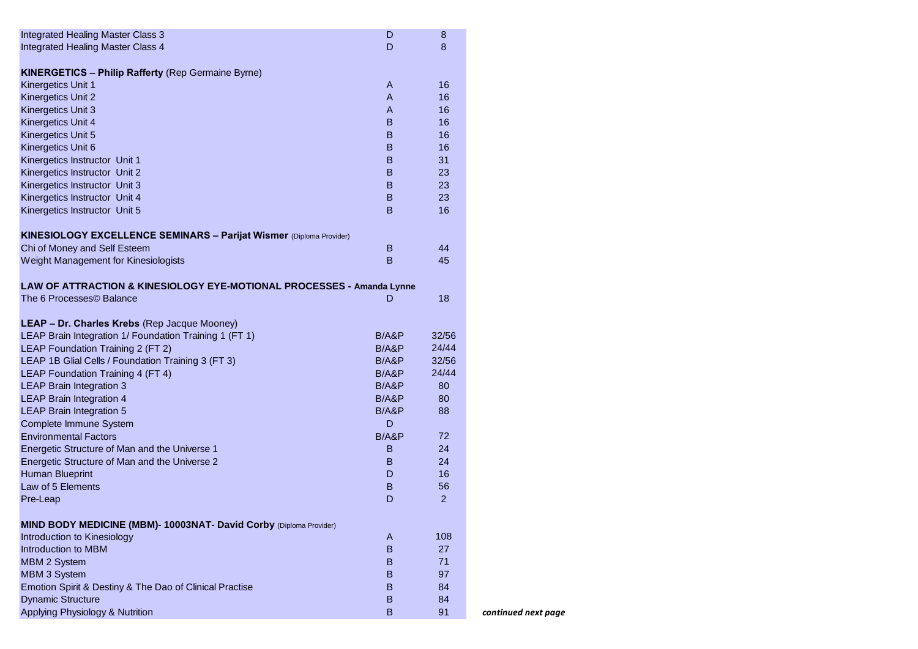| <b>Integrated Healing Master Class 3</b>                              | D              | 8        |
|-----------------------------------------------------------------------|----------------|----------|
| Integrated Healing Master Class 4                                     | D              | 8        |
|                                                                       |                |          |
| <b>KINERGETICS - Philip Rafferty (Rep Germaine Byrne)</b>             |                |          |
| Kinergetics Unit 1                                                    | $\overline{A}$ | 16       |
| Kinergetics Unit 2                                                    | A              | 16       |
| Kinergetics Unit 3                                                    | A              | 16       |
| Kinergetics Unit 4                                                    | B              | 16       |
| Kinergetics Unit 5                                                    | B              | 16       |
| Kinergetics Unit 6<br>Kinergetics Instructor Unit 1                   | B<br>B         | 16<br>31 |
| Kinergetics Instructor Unit 2                                         | B              | 23       |
| Kinergetics Instructor Unit 3                                         | B              | 23       |
| Kinergetics Instructor Unit 4                                         | B              | 23       |
| Kinergetics Instructor Unit 5                                         | B              | 16       |
|                                                                       |                |          |
| KINESIOLOGY EXCELLENCE SEMINARS - Parijat Wismer (Diploma Provider)   |                |          |
| Chi of Money and Self Esteem                                          | B              | 44       |
| Weight Management for Kinesiologists                                  | B              | 45       |
|                                                                       |                |          |
| LAW OF ATTRACTION & KINESIOLOGY EYE-MOTIONAL PROCESSES - Amanda Lynne |                |          |
| The 6 Processes© Balance                                              | D              | 18       |
|                                                                       |                |          |
| LEAP - Dr. Charles Krebs (Rep Jacque Mooney)                          |                |          |
| LEAP Brain Integration 1/ Foundation Training 1 (FT 1)                | B/ABP          | 32/56    |
| LEAP Foundation Training 2 (FT 2)                                     | B/ABP          | 24/44    |
| LEAP 1B Glial Cells / Foundation Training 3 (FT 3)                    | B/ABP          | 32/56    |
| LEAP Foundation Training 4 (FT 4)                                     | B/ABP          | 24/44    |
| <b>LEAP Brain Integration 3</b>                                       | B/ABP          | 80       |
| <b>LEAP Brain Integration 4</b>                                       | B/ABP<br>B/ABP | 80<br>88 |
| <b>LEAP Brain Integration 5</b><br>Complete Immune System             | D              |          |
| <b>Environmental Factors</b>                                          | B/ABP          | 72       |
| Energetic Structure of Man and the Universe 1                         | B              | 24       |
| Energetic Structure of Man and the Universe 2                         | B              | 24       |
| <b>Human Blueprint</b>                                                | D              | 16       |
| Law of 5 Elements                                                     | B              | 56       |
| Pre-Leap                                                              | D              | 2        |
|                                                                       |                |          |
| MIND BODY MEDICINE (MBM)- 10003NAT- David Corby (Diploma Provider)    |                |          |
| Introduction to Kinesiology                                           | A              | 108      |
| Introduction to MBM                                                   | B              | 27       |
| MBM 2 System                                                          | B              | 71       |
| MBM 3 System                                                          | B              | 97       |
| Emotion Spirit & Destiny & The Dao of Clinical Practise               | B              | 84       |
| <b>Dynamic Structure</b>                                              | B              | 84       |
| Applying Physiology & Nutrition                                       | B              | 91       |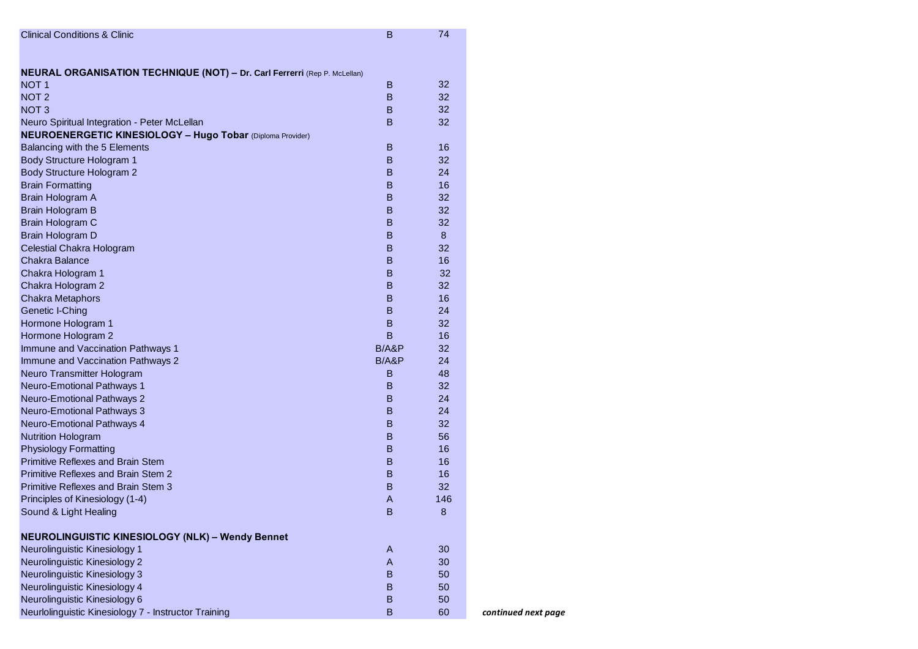| В     | 74               |                                                                |
|-------|------------------|----------------------------------------------------------------|
|       |                  |                                                                |
|       |                  |                                                                |
| В     | 32               |                                                                |
| B     | 32               |                                                                |
| B     | 32               |                                                                |
| B     | 32               |                                                                |
|       |                  |                                                                |
| B     | 16               |                                                                |
| B     | 32               |                                                                |
| B     | 24               |                                                                |
| В     | 16               |                                                                |
| в     | 32               |                                                                |
| B     | 32               |                                                                |
| B     | 32               |                                                                |
| В     | 8                |                                                                |
| в     | 32               |                                                                |
| B     | 16               |                                                                |
| B     | 32               |                                                                |
| B     | 32               |                                                                |
| B     | 16               |                                                                |
| В     | 24               |                                                                |
| B     | 32               |                                                                |
| B     | 16               |                                                                |
| B/ABP | 32               |                                                                |
| B/ABP | 24               |                                                                |
| B     | 48               |                                                                |
| B     | 32               |                                                                |
| В     | 24               |                                                                |
|       |                  |                                                                |
|       |                  |                                                                |
|       |                  |                                                                |
| B     |                  |                                                                |
|       |                  |                                                                |
| В     |                  |                                                                |
| В     |                  |                                                                |
| A     |                  |                                                                |
| в     |                  |                                                                |
|       |                  |                                                                |
| A     | 30               |                                                                |
| A     | 30               |                                                                |
| B     | 50               |                                                                |
| B     |                  |                                                                |
| B     |                  |                                                                |
| B     | 60               | continued next page                                            |
|       | B<br>B<br>B<br>B | 24<br>32<br>56<br>16<br>16<br>16<br>32<br>146<br>8<br>50<br>50 |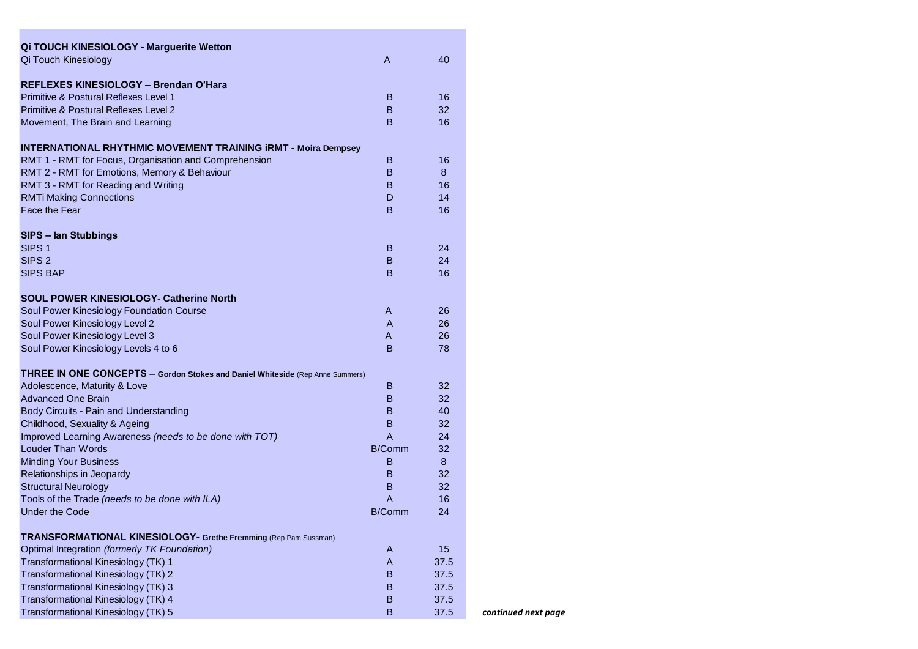| <b>Qi TOUCH KINESIOLOGY - Marguerite Wetton</b><br>Qi Touch Kinesiology              | A            | 40   |
|--------------------------------------------------------------------------------------|--------------|------|
|                                                                                      |              |      |
| REFLEXES KINESIOLOGY - Brendan O'Hara                                                |              |      |
| <b>Primitive &amp; Postural Reflexes Level 1</b>                                     | B            | 16   |
| <b>Primitive &amp; Postural Reflexes Level 2</b>                                     | B            | 32   |
| Movement, The Brain and Learning                                                     | B            | 16   |
| <b>INTERNATIONAL RHYTHMIC MOVEMENT TRAINING IRMT - Moira Dempsey</b>                 |              |      |
| RMT 1 - RMT for Focus, Organisation and Comprehension                                | В            | 16   |
| RMT 2 - RMT for Emotions, Memory & Behaviour                                         | B            | 8    |
| RMT 3 - RMT for Reading and Writing                                                  | B            | 16   |
| <b>RMTi Making Connections</b>                                                       | D            | 14   |
| Face the Fear                                                                        | B            | 16   |
| SIPS - lan Stubbings                                                                 |              |      |
| SIPS <sub>1</sub>                                                                    | B            | 24   |
| SIPS <sub>2</sub>                                                                    | B            | 24   |
| <b>SIPS BAP</b>                                                                      | B            | 16   |
| <b>SOUL POWER KINESIOLOGY- Catherine North</b>                                       |              |      |
| Soul Power Kinesiology Foundation Course                                             | A            | 26   |
| Soul Power Kinesiology Level 2                                                       | A            | 26   |
| Soul Power Kinesiology Level 3                                                       | A            | 26   |
| Soul Power Kinesiology Levels 4 to 6                                                 | B            | 78   |
|                                                                                      |              |      |
| <b>THREE IN ONE CONCEPTS - Gordon Stokes and Daniel Whiteside (Rep Anne Summers)</b> |              |      |
| Adolescence, Maturity & Love                                                         | B            | 32   |
| <b>Advanced One Brain</b>                                                            | B            | 32   |
| Body Circuits - Pain and Understanding                                               | B            | 40   |
| Childhood, Sexuality & Ageing                                                        | B            | 32   |
| Improved Learning Awareness (needs to be done with TOT)                              | A            | 24   |
| Louder Than Words                                                                    | B/Comm       | 32   |
| <b>Minding Your Business</b>                                                         | B            | 8    |
| Relationships in Jeopardy                                                            | B.           | 32   |
| <b>Structural Neurology</b>                                                          | B.           | 32   |
| Tools of the Trade (needs to be done with ILA)                                       | A            | 16   |
| <b>Under the Code</b>                                                                | B/Comm       | 24   |
| TRANSFORMATIONAL KINESIOLOGY- Grethe Fremming (Rep Pam Sussman)                      |              |      |
| Optimal Integration (formerly TK Foundation)                                         | A            | 15   |
| Transformational Kinesiology (TK) 1                                                  | $\mathsf{A}$ | 37.5 |
| Transformational Kinesiology (TK) 2                                                  | B            | 37.5 |
| Transformational Kinesiology (TK) 3                                                  | B            | 37.5 |
| Transformational Kinesiology (TK) 4                                                  | B            | 37.5 |
| Transformational Kinesiology (TK) 5                                                  | B            | 37.5 |